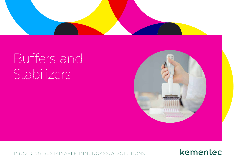

# Buffers and Stabilizers



PROVIDING SUSTAINABLE IMMUNOASSAY SOLUTIONS

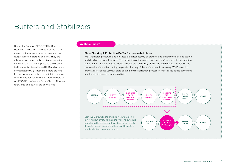## Buffers and Stabilizers

Kementec Solutions' ECO-TEK buffers are designed for use in colorimetric as well as in chemilumine-scence based assays such as ELISA, Western Blotting and IHC. They are all ready-to-use and robust diluents offering superior stabilization of proteins conjugated to Horseradish Peroxidase (HRP) and Alkaline Phosphatase (AP). These stabilizers prevent loss of enzyme activity and maintain the proteins molecular conformation. Furthermore all our ECO-TEK buffers are Bovine Serum Albumin (BSA) free and several are animal free.

#### WellChampion®

#### Plate Blocking & Protection Buffer for pre-coated plates

WellChampion preserves and protects biological activity of proteins and other biomolecules coated and dried on microwell surfaces. The protection of the coated and dried surface prevents degradation, denaturation and leaching. As WellChampion also efficiently blocks any free binding sites left on the microwell surface after coating, separate blocking of the surface is not necessary. WellChampion dramatically speeds up your plate coating and stabilization process in most cases at the same time resulting in improved assay sensitivity.

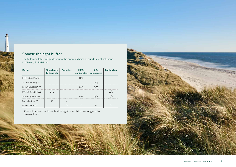### **Choose the right buffer**

The following table will guide you to the optimal choice of our different solutions. D: Diluent, S: Stabilizer

| <b>Buffer</b>                  | <b>Standards</b><br>& Controls | <b>Samples</b> | HRP-<br>conjugates | ΔP-<br>conjugates | <b>Antibodies</b> |
|--------------------------------|--------------------------------|----------------|--------------------|-------------------|-------------------|
| HRP-StabilPLUS <sup>*</sup>    |                                |                | D/S                |                   |                   |
| AP-StabilPLUS <sup>**</sup>    |                                |                |                    | D/S               |                   |
| UNI-StabilPLUS <sup>**</sup>   |                                |                | D/S                |                   |                   |
| Protein-StabilPLUS             | /ς                             |                |                    |                   |                   |
| Antibody Enhancer <sup>*</sup> |                                |                | D/S                | D/S               |                   |
| Sample X-tra **                |                                |                |                    |                   |                   |
| Effect Diluent **              |                                |                |                    |                   |                   |

\* Cannot be used with antibodies against rabbit immunoglobulin \*\* Animal free

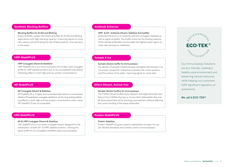#### Synthetic Blocking Buffers

#### Blocking Buffers for ELISA and Blotting

Purely synthetic, protein free blocking buffers for ELISA and Blotting applications with high blocking capacity: Improving signal-to-noise ratio values and eliminating the risk of false positive cross reactions in the assay.

#### HRP-StabilPLUS

#### HRP Conjugate Diluent & Stabilizer

HRP-StabilPLUS is our most successful and widely used conjugate buffer for HRP labeled proteins due to its unsurpassed long lasting stabilizing effect in both high and low protein concentrations.

#### AP-StabilPLUS

#### AP Conjugate Diluent & Stabilizer

AP-StabilPLUS is a highly recommended alternative to conventional Alkaline Phosphatase conjugate stabilizers, as the long lasting stabilizing effects in both high and low protein concentrations when using AP-StabilPLUS are incomparable.

#### UNI-StabilPLUS

#### AP & HRP Conjugate Diluent & Stabilizer

UNI-StabilPLUS is a universal conjugate diluent designed for the stabilization of both AP- & HRP-labelled proteins. Utilizing the same buffer for all conjugates simplifies daily work processes.

#### Antibody Enhancer

#### HRP- & AP- Antibody Diluent, Stabilizer & Amplifier

Antibody Enhancer is an antibody efficient conjugate stabilizer as well as signal amplifier. The buffer enhances the binding capacity of the diluted antibodies and provides the highest assay signal-tonoise ratio among our stabilizers.

#### Sample X-tra

#### Sample dilution buffer for Immuoassays

The dilution of sample matrices & assay standards with Sample X-tra minimizes nonspecific interactions between the matrix proteins and the surface of the plate, improving signal-to-noise ratio.

#### Effect Diluent, Animal-free

#### Sample dilution buffers for Immuoassays

The 3 Effect Diluent buffers (Low, Medium and High) eliminate interference from HAMAs (human-a-mouse Abs), Heterophilic Abs and RF (rheumatoid factors) by blocking cross reactions without affecting the correct binding of the assay antibodies.

#### Protein-StabilPLUS

#### Protein Stabilizer

Protein-StabilPLUS gives superior stabilization of ready-to-use pre-diluted standards and controls used in immunoassays.



Our Immunoassay Solutions are eco-friendly, creating a healthy work environment and preserving natural resources, while helping our customers fulfill significant regulatory requirements.

#### **We call it ECO-TEK®**